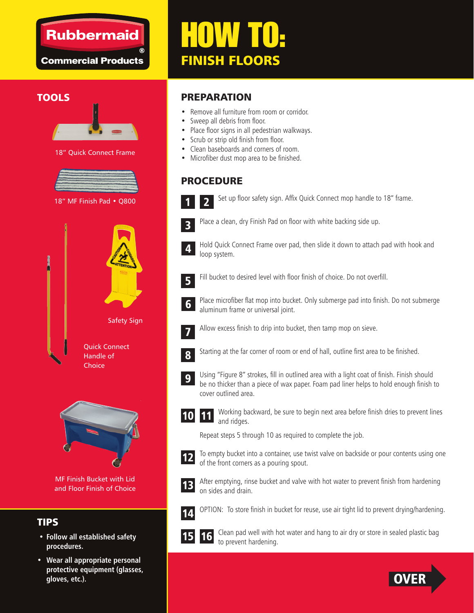### **Rubbermaid**

**Commercial Products** 

# HOW TO: FINISH FLOORS

#### **TOOLS**



18" Quick Connect Frame



18" MF Finish Pad • Q800





MF Finish Bucket with Lid and Floor Finish of Choice

#### TIPS

- **Follow all established safety procedures.**
- **Wear all appropriate personal protective equipment (glasses, gloves, etc.).**

#### PREPARATION

- Remove all furniture from room or corridor.
- Sweep all debris from floor.
- Place floor signs in all pedestrian walkways.
- Scrub or strip old finish from floor.
- Clean baseboards and corners of room.
- Microfiber dust mop area to be finished.

#### PROCEDURE

Set up floor safety sign. Affix Quick Connect mop handle to 18" frame. 2



1

Place a clean, dry Finish Pad on floor with white backing side up.



Hold Quick Connect Frame over pad, then slide it down to attach pad with hook and loop system.

5

Fill bucket to desired level with floor finish of choice. Do not overfill.



Place microfiber flat mop into bucket. Only submerge pad into finish. Do not submerge aluminum frame or universal joint.



Allow excess finish to drip into bucket, then tamp mop on sieve.



Starting at the far corner of room or end of hall, outline first area to be finished.



Using "Figure 8" strokes, fill in outlined area with a light coat of finish. Finish should be no thicker than a piece of wax paper. Foam pad liner helps to hold enough finish to cover outlined area.

Working backward, be sure to begin next area before finish dries to prevent lines and ridges. 11

Repeat steps 5 through 10 as required to complete the job.



10

To empty bucket into a container, use twist valve on backside or pour contents using one of the front corners as a pouring spout.



After emptying, rinse bucket and valve with hot water to prevent finish from hardening on sides and drain.



OPTION: To store finish in bucket for reuse, use air tight lid to prevent drying/hardening.



l.

Clean pad well with hot water and hang to air dry or store in sealed plastic bag to prevent hardening. 16